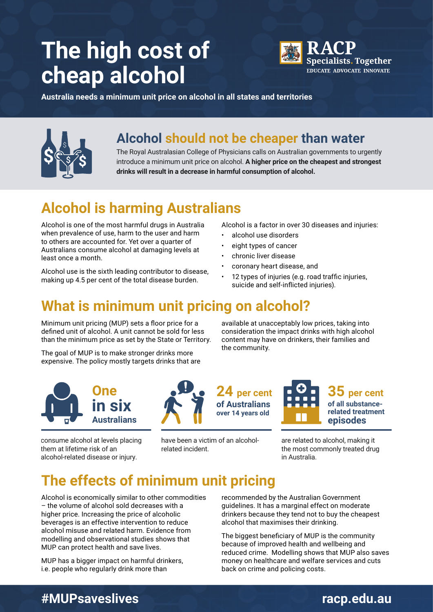# **The high cost of cheap alcohol**



**Australia needs a minimum unit price on alcohol in all states and territories**



### **Alcohol should not be cheaper than water**

The Royal Australasian College of Physicians calls on Australian governments to urgently introduce a minimum unit price on alcohol. **A higher price on the cheapest and strongest drinks will result in a decrease in harmful consumption of alcohol.** 

### **Alcohol is harming Australians**

Alcohol is one of the most harmful drugs in Australia when prevalence of use, harm to the user and harm to others are accounted for. Yet over a quarter of Australians consume alcohol at damaging levels at least once a month.

Alcohol use is the sixth leading contributor to disease, making up 4.5 per cent of the total disease burden.

Alcohol is a factor in over 30 diseases and injuries:

- alcohol use disorders
- eight types of cancer
- chronic liver disease

**24 per cent 35 per cent**

- coronary heart disease, and
- 12 types of injuries (e.g. road traffic injuries, suicide and self-inflicted injuries).

### **What is minimum unit pricing on alcohol?**

Minimum unit pricing (MUP) sets a floor price for a defined unit of alcohol. A unit cannot be sold for less than the minimum price as set by the State or Territory.

The goal of MUP is to make stronger drinks more expensive. The policy mostly targets drinks that are

available at unacceptably low prices, taking into consideration the impact drinks with high alcohol content may have on drinkers, their families and the community.



consume alcohol at levels placing them at lifetime risk of an alcohol-related disease or injury.



have been a victim of an alcoholrelated incident.



**of all substancerelated treatment episodes**

are related to alcohol, making it the most commonly treated drug in Australia.

### **The effects of minimum unit pricing**

Alcohol is economically similar to other commodities – the volume of alcohol sold decreases with a higher price. Increasing the price of alcoholic beverages is an effective intervention to reduce alcohol misuse and related harm. Evidence from modelling and observational studies shows that MUP can protect health and save lives.

MUP has a bigger impact on harmful drinkers, i.e. people who regularly drink more than

recommended by the Australian Government guidelines. It has a marginal effect on moderate drinkers because they tend not to buy the cheapest alcohol that maximises their drinking.

The biggest beneficiary of MUP is the community because of improved health and wellbeing and reduced crime. Modelling shows that MUP also saves money on healthcare and welfare services and cuts back on crime and policing costs.

### **#MUPsaveslives [racp.edu.au](https://www.racp.edu.au)**